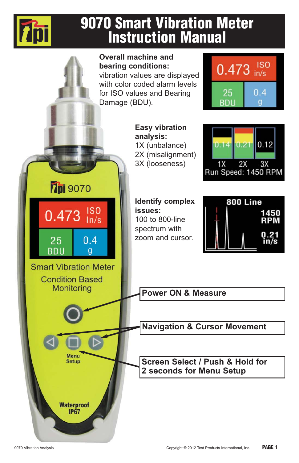

# **9070 Smart Vibration Meter Instruction Manual**

**Overall machine and ISO bearing conditions:** 0.473  $in/s$ vibration values are displayed with color coded alarm levels for ISO values and Bearing 25  $0.4$ Damage (BDU). **BDL Easy vibration analysis:**  $0.12$ 1X (unbalance)  $0.14$  $0.2$ 2X (misalignment) 3X (looseness)  $1X$  $2X$  $3X$ Run Speed: 1450 RPM **701** 9070 **Identify complex** 800 Line  $0.473$   $_{\text{ln/s}}^{180}$ **issues:** 1450 100 to 800-line **RPM** spectrum with 25  $0.4$ zoom and cursor. **RDU**  $\overline{g}$ **Smart Vibration Meter Condition Based Monitoring Power ON & Measure Navigation & Cursor Movement** Menu **Screen Select / Push & Hold for Setup 2 seconds for Menu Setup Waterproof IP67**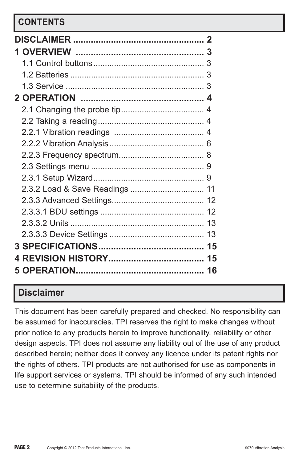# **CONTENTS**

| 2.3.2 Load & Save Readings  11 |    |
|--------------------------------|----|
|                                |    |
|                                |    |
|                                |    |
|                                |    |
|                                |    |
|                                |    |
|                                | 16 |

# **Disclaimer**

This document has been carefully prepared and checked. No responsibility can be assumed for inaccuracies. TPI reserves the right to make changes without prior notice to any products herein to improve functionality, reliability or other design aspects. TPI does not assume any liability out of the use of any product described herein; neither does it convey any licence under its patent rights nor the rights of others. TPI products are not authorised for use as components in life support services or systems. TPI should be informed of any such intended use to determine suitability of the products.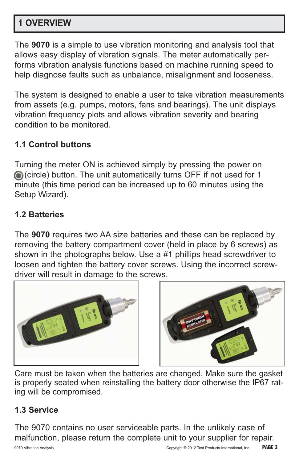# **1 OVERVIEW**

The **9070** is a simple to use vibration monitoring and analysis tool that allows easy display of vibration signals. The meter automatically performs vibration analysis functions based on machine running speed to help diagnose faults such as unbalance, misalignment and looseness.

The system is designed to enable a user to take vibration measurements from assets (e.g. pumps, motors, fans and bearings). The unit displays vibration frequency plots and allows vibration severity and bearing condition to be monitored.

### **1.1 Control buttons**

Turning the meter ON is achieved simply by pressing the power on (circle) button. The unit automatically turns OFF if not used for 1 minute (this time period can be increased up to 60 minutes using the Setup Wizard).

### **1.2 Batteries**

The **9070** requires two AA size batteries and these can be replaced by removing the battery compartment cover (held in place by 6 screws) as shown in the photographs below. Use a #1 phillips head screwdriver to loosen and tighten the battery cover screws. Using the incorrect screwdriver will result in damage to the screws.





Care must be taken when the batteries are changed. Make sure the gasket is properly seated when reinstalling the battery door otherwise the IP67 rating will be compromised.

#### **1.3 Service**

The 9070 contains no user serviceable parts. In the unlikely case of malfunction, please return the complete unit to your supplier for repair.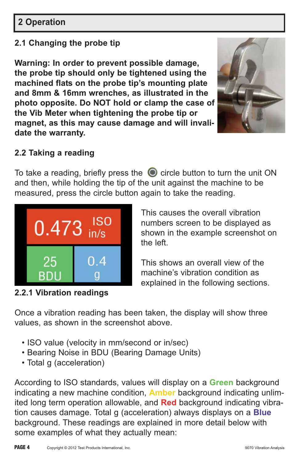## **2 Operation**

### **2.1 Changing the probe tip**

**Warning: In order to prevent possible damage, the probe tip should only be tightened using the machined flats on the probe tip's mounting plate and 8mm & 16mm wrenches, as illustrated in the photo opposite. Do NOT hold or clamp the case of the Vib Meter when tightening the probe tip or magnet, as this may cause damage and will invalidate the warranty.**



### **2.2 Taking a reading**

To take a reading, briefly press the  $\bullet$  circle button to turn the unit ON and then, while holding the tip of the unit against the machine to be measured, press the circle button again to take the reading.



**2.2.1 Vibration readings**

This causes the overall vibration numbers screen to be displayed as shown in the example screenshot on the left.

This shows an overall view of the machine's vibration condition as explained in the following sections.

Once a vibration reading has been taken, the display will show three values, as shown in the screenshot above.

- ISO value (velocity in mm/second or in/sec)
- Bearing Noise in BDU (Bearing Damage Units)
- Total g (acceleration)

According to ISO standards, values will display on a **Green** background indicating a new machine condition, **Amber** background indicating unlimited long term operation allowable, and **Red** background indicating vibration causes damage. Total g (acceleration) always displays on a **Blue** background. These readings are explained in more detail below with some examples of what they actually mean: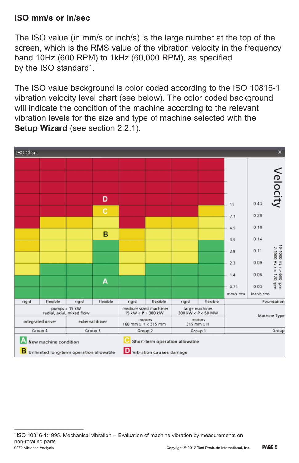### **ISO mm/s or in/sec**

The ISO value (in mm/s or inch/s) is the large number at the top of the screen, which is the RMS value of the vibration velocity in the frequency band 10Hz (600 RPM) to 1kHz (60,000 RPM), as specified by the ISO standard1.

The ISO value background is color coded according to the ISO 10816-1 vibration velocity level chart (see below). The color coded background will indicate the condition of the machine according to the relevant vibration levels for the size and type of machine selected with the **Setup Wizard** (see section 2.2.1).



<sup>9070</sup> Vibration Analysis Copyright © 2012 Test Products International, Inc. **PAGE 5** ---------------------------------------------------------------------------------------------- 1 ISO 10816-1:1995. Mechanical vibration -- Evaluation of machine vibration by measurements on non-rotating parts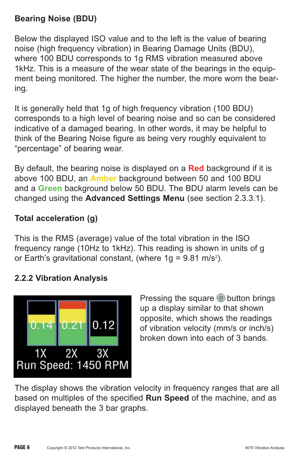### **Bearing Noise (BDU)**

Below the displayed ISO value and to the left is the value of bearing noise (high frequency vibration) in Bearing Damage Units (BDU), where 100 BDU corresponds to 1g RMS vibration measured above 1kHz. This is a measure of the wear state of the bearings in the equipment being monitored. The higher the number, the more worn the bearing.

It is generally held that 1g of high frequency vibration (100 BDU) corresponds to a high level of bearing noise and so can be considered indicative of a damaged bearing. In other words, it may be helpful to think of the Bearing Noise figure as being very roughly equivalent to "percentage" of bearing wear.

By default, the bearing noise is displayed on a **Red** background if it is above 100 BDU, an **Amber** background between 50 and 100 BDU and a **Green** background below 50 BDU. The BDU alarm levels can be changed using the **Advanced Settings Menu** (see section 2.3.3.1).

### **Total acceleration (g)**

This is the RMS (average) value of the total vibration in the ISO frequency range (10Hz to 1kHz). This reading is shown in units of g or Earth's gravitational constant, (where 1g =  $9.81 \text{ m/s}^2$ ).

#### **2.2.2 Vibration Analysis**



Pressing the square  $\blacksquare$  button brings up a display similar to that shown opposite, which shows the readings of vibration velocity (mm/s or inch/s) broken down into each of 3 bands.

The display shows the vibration velocity in frequency ranges that are all based on multiples of the specified **Run Speed** of the machine, and as displayed beneath the 3 bar graphs.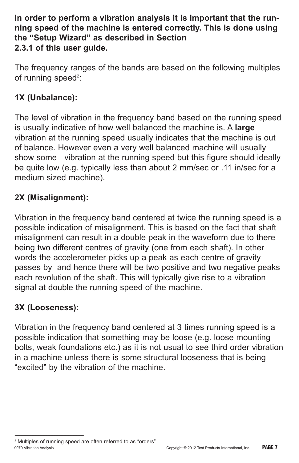**In order to perform a vibration analysis it is important that the running speed of the machine is entered correctly. This is done using the "Setup Wizard" as described in Section 2.3.1 of this user guide.**

The frequency ranges of the bands are based on the following multiples of running speed<sup>2</sup>:

### **1X (Unbalance):**

The level of vibration in the frequency band based on the running speed is usually indicative of how well balanced the machine is. A **large** vibration at the running speed usually indicates that the machine is out of balance. However even a very well balanced machine will usually show some vibration at the running speed but this figure should ideally be quite low (e.g. typically less than about 2 mm/sec or .11 in/sec for a medium sized machine).

### **2X (Misalignment):**

Vibration in the frequency band centered at twice the running speed is a possible indication of misalignment. This is based on the fact that shaft misalignment can result in a double peak in the waveform due to there being two different centres of gravity (one from each shaft). In other words the accelerometer picks up a peak as each centre of gravity passes by and hence there will be two positive and two negative peaks each revolution of the shaft. This will typically give rise to a vibration signal at double the running speed of the machine.

### **3X (Looseness):**

----------------------------------------------------------------------------------------------

Vibration in the frequency band centered at 3 times running speed is a possible indication that something may be loose (e.g. loose mounting bolts, weak foundations etc.) as it is not usual to see third order vibration in a machine unless there is some structural looseness that is being "excited" by the vibration of the machine.

<sup>9070</sup> Vibration Analysis Copyright © 2012 Test Products International, Inc. **PAGE 7** <sup>2</sup> Multiples of running speed are often referred to as "orders"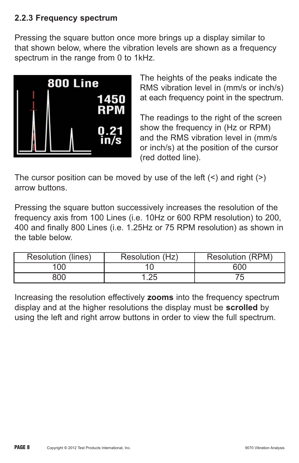#### **2.2.3 Frequency spectrum**

Pressing the square button once more brings up a display similar to that shown below, where the vibration levels are shown as a frequency spectrum in the range from 0 to 1kHz.



The heights of the peaks indicate the RMS vibration level in (mm/s or inch/s) at each frequency point in the spectrum.

The readings to the right of the screen show the frequency in (Hz or RPM) and the RMS vibration level in (mm/s or inch/s) at the position of the cursor (red dotted line).

The cursor position can be moved by use of the left  $($ arrow buttons.

Pressing the square button successively increases the resolution of the frequency axis from 100 Lines (i.e. 10Hz or 600 RPM resolution) to 200, 400 and finally 800 Lines (i.e. 1.25Hz or 75 RPM resolution) as shown in the table below.

| <b>Resolution (lines)</b> | Resolution (Hz) | <b>Resolution (RPM)</b> |
|---------------------------|-----------------|-------------------------|
| '00                       |                 | 600                     |
| 800                       | .25             |                         |

Increasing the resolution effectively **zooms** into the frequency spectrum display and at the higher resolutions the display must be **scrolled** by using the left and right arrow buttons in order to view the full spectrum.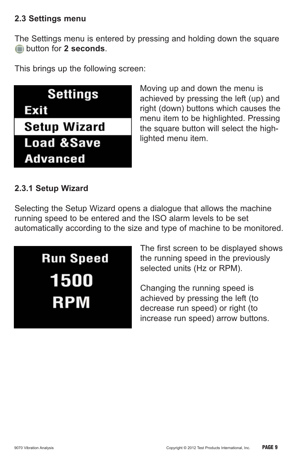#### **2.3 Settings menu**

The Settings menu is entered by pressing and holding down the square button for **2 seconds**.

This brings up the following screen:



Moving up and down the menu is achieved by pressing the left (up) and right (down) buttons which causes the menu item to be highlighted. Pressing the square button will select the highlighted menu item.

### **2.3.1 Setup Wizard**

Selecting the Setup Wizard opens a dialogue that allows the machine running speed to be entered and the ISO alarm levels to be set automatically according to the size and type of machine to be monitored.



The first screen to be displayed shows the running speed in the previously selected units (Hz or RPM).

Changing the running speed is achieved by pressing the left (to decrease run speed) or right (to increase run speed) arrow buttons.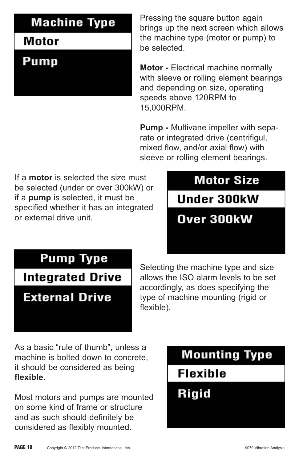# **Machine Type**

# **Motor**

**Pump** 

Pressing the square button again brings up the next screen which allows the machine type (motor or pump) to be selected.

**Motor -** Electrical machine normally with sleeve or rolling element bearings and depending on size, operating speeds above 120RPM to 15,000RPM.

**Pump -** Multivane impeller with separate or integrated drive (centrifigul, mixed flow, and/or axial flow) with sleeve or rolling element bearings.

If a **motor** is selected the size must be selected (under or over 300kW) or if a **pump** is selected, it must be specified whether it has an integrated or external drive unit.

# **Motor Size Under 300kW** Over 300kW

# **Pump Type**

# **Integrated Drive**

# **External Drive**

Selecting the machine type and size allows the ISO alarm levels to be set accordingly, as does specifying the type of machine mounting (rigid or flexible).

As a basic "rule of thumb", unless a machine is bolted down to concrete, it should be considered as being **flexible**.

Most motors and pumps are mounted on some kind of frame or structure and as such should definitely be considered as flexibly mounted.

# **Mounting Type**

**Flexible** 

**Rigid**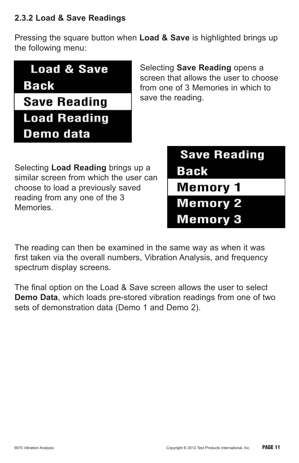### **2.3.2 Load & Save Readings**

Pressing the square button when **Load & Save** is highlighted brings up the following menu:

| <b>Load &amp; Save</b><br><b>Back</b> | Se<br>SCI<br>fro |
|---------------------------------------|------------------|
| <b>Save Reading</b>                   | sa               |
| <b>Load Reading</b>                   |                  |
| Demo data                             |                  |

**Iecting Save Reading opens a** een that allows the user to choose m one of 3 Memories in which to ve the reading.

Selecting **Load Reading** brings up a similar screen from which the user can choose to load a previously saved reading from any one of the 3 Memories.

| <b>Save Reading</b> |  |
|---------------------|--|
| Back                |  |
| <b>Memory 1</b>     |  |
| <b>Memory 2</b>     |  |
| <b>Memory 3</b>     |  |

The reading can then be examined in the same way as when it was first taken via the overall numbers, Vibration Analysis, and frequency spectrum display screens.

The final option on the Load & Save screen allows the user to select **Demo Data**, which loads pre-stored vibration readings from one of two sets of demonstration data (Demo 1 and Demo 2).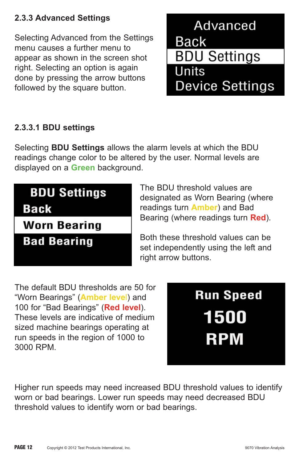### **2.3.3 Advanced Settings**

Selecting Advanced from the Settings menu causes a further menu to appear as shown in the screen shot right. Selecting an option is again done by pressing the arrow buttons followed by the square button.

Advanced **Back BDU Settings** Units **Device Settings** 

### **2.3.3.1 BDU settings**

Selecting **BDU Settings** allows the alarm levels at which the BDU readings change color to be altered by the user. Normal levels are displayed on a **Green** background.

# **BDU Settings Back Worn Bearing**

**Bad Bearing** 

The BDU threshold values are designated as Worn Bearing (where readings turn **Amber**) and Bad Bearing (where readings turn **Red**).

Both these threshold values can be set independently using the left and right arrow buttons.

The default BDU thresholds are 50 for "Worn Bearings" (**Amber leve**l) and 100 for "Bad Bearings" (**Red level**). These levels are indicative of medium sized machine bearings operating at run speeds in the region of 1000 to 3000 RPM.

**Run Speed** 1500 **RPM** 

Higher run speeds may need increased BDU threshold values to identify worn or bad bearings. Lower run speeds may need decreased BDU threshold values to identify worn or bad bearings.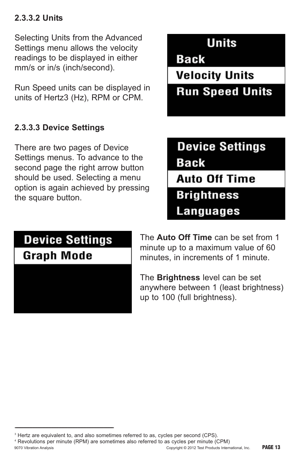### **2.3.3.2 Units**

Selecting Units from the Advanced Settings menu allows the velocity readings to be displayed in either mm/s or in/s (inch/second).

Run Speed units can be displayed in units of Hertz3 (Hz), RPM or CPM.

### **2.3.3.3 Device Settings**

There are two pages of Device Settings menus. To advance to the second page the right arrow button should be used. Selecting a menu option is again achieved by pressing the square button.

**Units** 

**Back** 

**Velocity Units Run Speed Units** 

**Device Settings Back Auto Off Time Brightness Languages** 

# **Device Settings**

**Graph Mode** 

----------------------------------------------------------------------------------------------

The **Auto Off Time** can be set from 1 minute up to a maximum value of 60 minutes, in increments of 1 minute.

The **Brightness** level can be set anywhere between 1 (least brightness) up to 100 (full brightness).

<sup>&</sup>lt;sup>3</sup> Hertz are equivalent to, and also sometimes referred to as, cycles per second (CPS).

<sup>9070</sup> Vibration Analysis Copyright © 2012 Test Products International, Inc. **PAGE 13** <sup>4</sup> Revolutions per minute (RPM) are sometimes also referred to as cycles per minute (CPM)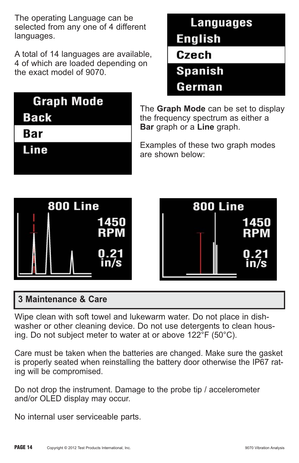The operating Language can be selected from any one of 4 different languages.

A total of 14 languages are available, 4 of which are loaded depending on the exact model of 9070.

| Languages      |
|----------------|
| <b>English</b> |
| Czech          |
| <b>Spanish</b> |
| German         |

| <b>Graph Mode</b> |  |
|-------------------|--|
| <b>Back</b>       |  |

**Bar** 

Line

The **Graph Mode** can be set to display the frequency spectrum as either a **Bar** graph or a **Line** graph.

Examples of these two graph modes are shown below:





# **3 Maintenance & Care**

Wipe clean with soft towel and lukewarm water. Do not place in dishwasher or other cleaning device. Do not use detergents to clean housing. Do not subject meter to water at or above 122°F (50°C).

Care must be taken when the batteries are changed. Make sure the gasket is properly seated when reinstalling the battery door otherwise the IP67 rating will be compromised.

Do not drop the instrument. Damage to the probe tip / accelerometer and/or OLED display may occur.

No internal user serviceable parts.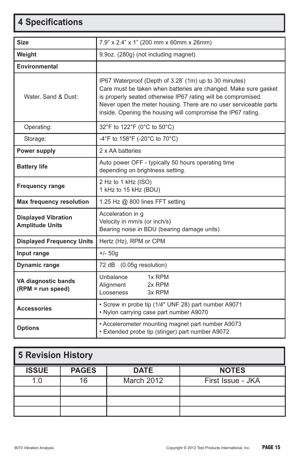# **4 Specifications**

| <b>Size</b>                                          | 7.9" x 2.4" x 1" (200 mm x 60mm x 26mm)                                                                                                                                                                                                                                                                                         |  |  |
|------------------------------------------------------|---------------------------------------------------------------------------------------------------------------------------------------------------------------------------------------------------------------------------------------------------------------------------------------------------------------------------------|--|--|
| Weight                                               | 9.9oz. (280g) (not including magnet)                                                                                                                                                                                                                                                                                            |  |  |
| <b>Environmental</b>                                 |                                                                                                                                                                                                                                                                                                                                 |  |  |
| Water, Sand & Dust:                                  | IP67 Waterproof (Depth of 3.28' (1m) up to 30 minutes)<br>Care must be taken when batteries are changed. Make sure gasket<br>is properly seated otherwise IP67 rating will be compromised.<br>Never open the meter housing. There are no user serviceable parts<br>inside. Opening the housing will compromise the IP67 rating. |  |  |
| Operating:                                           | 32°F to 122°F (0°C to 50°C)                                                                                                                                                                                                                                                                                                     |  |  |
| Storage:                                             | -4°F to 158°F (-20°C to 70°C)                                                                                                                                                                                                                                                                                                   |  |  |
| Power supply                                         | 2 x AA batteries                                                                                                                                                                                                                                                                                                                |  |  |
| <b>Battery life</b>                                  | Auto power OFF - typically 50 hours operating time<br>depending on brightness setting.                                                                                                                                                                                                                                          |  |  |
| <b>Frequency range</b>                               | 2 Hz to 1 kHz (ISO)<br>1 kHz to 15 kHz (BDU)                                                                                                                                                                                                                                                                                    |  |  |
| <b>Max frequency resolution</b>                      | 1.25 Hz $@$ 800 lines FFT setting                                                                                                                                                                                                                                                                                               |  |  |
| <b>Displayed Vibration</b><br><b>Amplitude Units</b> | Acceleration in g<br>Velocity in mm/s (or inch/s)<br>Bearing noise in BDU (bearing damage units)                                                                                                                                                                                                                                |  |  |
| <b>Displayed Frequency Units</b>                     | Hertz (Hz), RPM or CPM                                                                                                                                                                                                                                                                                                          |  |  |
| Input range                                          | $+/- 50q$                                                                                                                                                                                                                                                                                                                       |  |  |
| <b>Dynamic range</b>                                 | (0.05g resolution)<br>72 dB                                                                                                                                                                                                                                                                                                     |  |  |
| VA diagnostic bands<br>(RPM = run speed)             | Unbalance<br>1x RPM<br>Alignment<br>2x RPM<br>3x RPM<br>Looseness                                                                                                                                                                                                                                                               |  |  |
| <b>Accessories</b>                                   | · Screw in probe tip (1/4" UNF 28) part number A9071<br>. Nylon carrying case part number A9070                                                                                                                                                                                                                                 |  |  |
| <b>Options</b>                                       | • Accelerometer mounting magnet part number A9073<br>• Extended probe tip (stinger) part number A9072                                                                                                                                                                                                                           |  |  |

| <b>5 Revision History</b> |              |             |                   |  |
|---------------------------|--------------|-------------|-------------------|--|
| <b>ISSUE</b>              | <b>PAGES</b> | <b>DATE</b> | <b>NOTES</b>      |  |
| 1.0                       | 16           | March 2012  | First Issue - JKA |  |
|                           |              |             |                   |  |
|                           |              |             |                   |  |
|                           |              |             |                   |  |